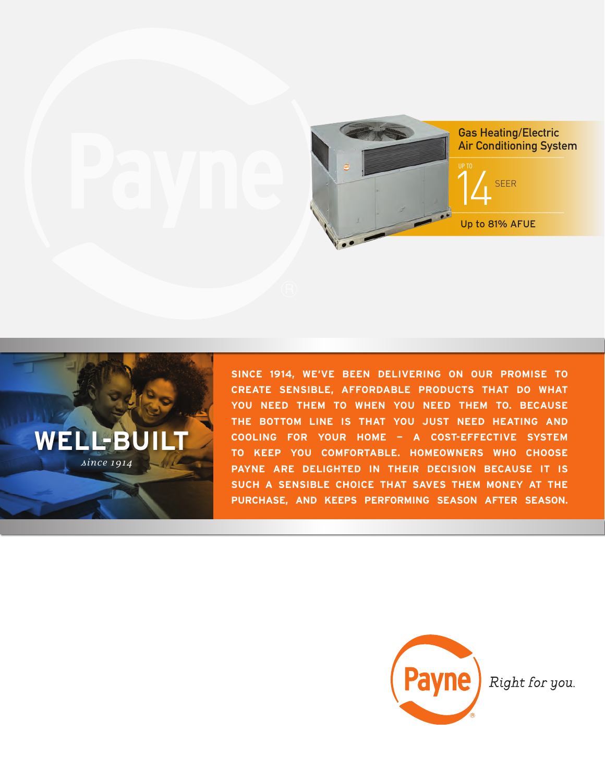



**SINCE 1914, WE'VE BEEN DELIVERING ON OUR PROMISE TO CREATE SENSIBLE, AFFORDABLE PRODUCTS THAT DO WHAT YOU NEED THEM TO WHEN YOU NEED THEM TO. BECAUSE THE BOTTOM LINE IS THAT YOU JUST NEED HEATING AND COOLING FOR YOUR HOME — A COST-EFFECTIVE SYSTEM TO KEEP YOU COMFORTABLE. HOMEOWNERS WHO CHOOSE PAYNE ARE DELIGHTED IN THEIR DECISION BECAUSE IT IS SUCH A SENSIBLE CHOICE THAT SAVES THEM MONEY AT THE PURCHASE, AND KEEPS PERFORMING SEASON AFTER SEASON.**



Right for you.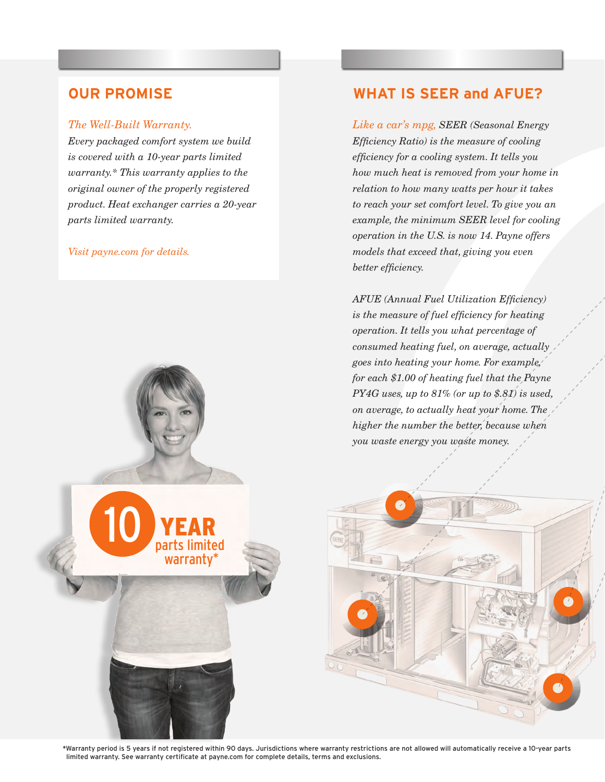### *The Well-Built Warranty.*

*Every packaged comfort system we build is covered with a 10-year parts limited warranty.\* This warranty applies to the original owner of the properly registered product. Heat exchanger carries a 20-year parts limited warranty.* 

10 YEAR

 parts limited warranty\*

### *Visit payne.com for details.*

## **OUR PROMISE WHAT IS SEER and AFUE?**

*Like a car's mpg, SEER (Seasonal Energy Efficiency Ratio) is the measure of cooling efficiency for a cooling system. It tells you how much heat is removed from your home in relation to how many watts per hour it takes to reach your set comfort level. To give you an example, the minimum SEER level for cooling operation in the U.S. is now 14. Payne offers models that exceed that, giving you even better efficiency.*

*AFUE (Annual Fuel Utilization Efficiency) is the measure of fuel efficiency for heating operation. It tells you what percentage of consumed heating fuel, on average, actually goes into heating your home. For example, for each \$1.00 of heating fuel that the Payne PY4G uses, up to 81% (or up to \$.81) is used, on average, to actually heat your home. The higher the number the better, because when you waste energy you waste money.*

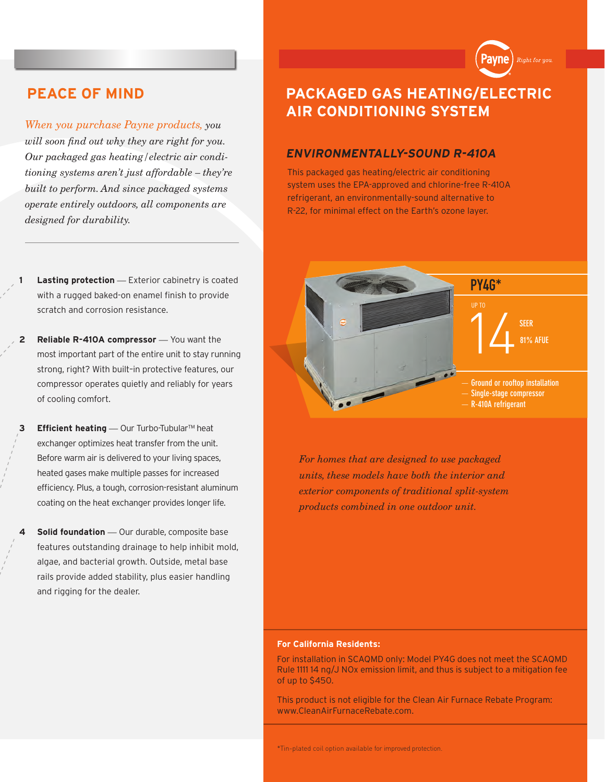

*When you purchase Payne products, you will soon find out why they are right for you. Our packaged gas heating/electric air conditioning systems aren't just affordable – they're built to perform. And since packaged systems operate entirely outdoors, all components are designed for durability.*

- **Lasting protection** Exterior cabinetry is coated with a rugged baked-on enamel finish to provide scratch and corrosion resistance.
- **2** Reliable R-410A compressor You want the most important part of the entire unit to stay running strong, right? With built–in protective features, our compressor operates quietly and reliably for years of cooling comfort.
- **3 Efficient heating** *—* Our Turbo-Tubular™ heat exchanger optimizes heat transfer from the unit. Before warm air is delivered to your living spaces, heated gases make multiple passes for increased efficiency. Plus, a tough, corrosion-resistant aluminum coating on the heat exchanger provides longer life.
- **5olid foundation** Our durable, composite base features outstanding drainage to help inhibit mold, algae, and bacterial growth. Outside, metal base rails provide added stability, plus easier handling and rigging for the dealer.

# **PEACE OF MIND PACKAGED GAS HEATING/ELECTRIC AIR CONDITIONING SYSTEM**

### **ENVIRONMENTALLY-SOUND R-410A**

This packaged gas heating/electric air conditioning system uses the EPA-approved and chlorine-free R-410A refrigerant, an environmentally-sound alternative to R-22, for minimal effect on the Earth's ozone layer.



*For homes that are designed to use packaged units, these models have both the interior and exterior components of traditional split-system products combined in one outdoor unit.*

### **For California Residents:**

For installation in SCAQMD only: Model PY4G does not meet the SCAQMD Rule 1111 14 ng/J NOx emission limit, and thus is subject to a mitigation fee of up to \$450.

This product is not eligible for the Clean Air Furnace Rebate Program: www.CleanAirFurnaceRebate.com.